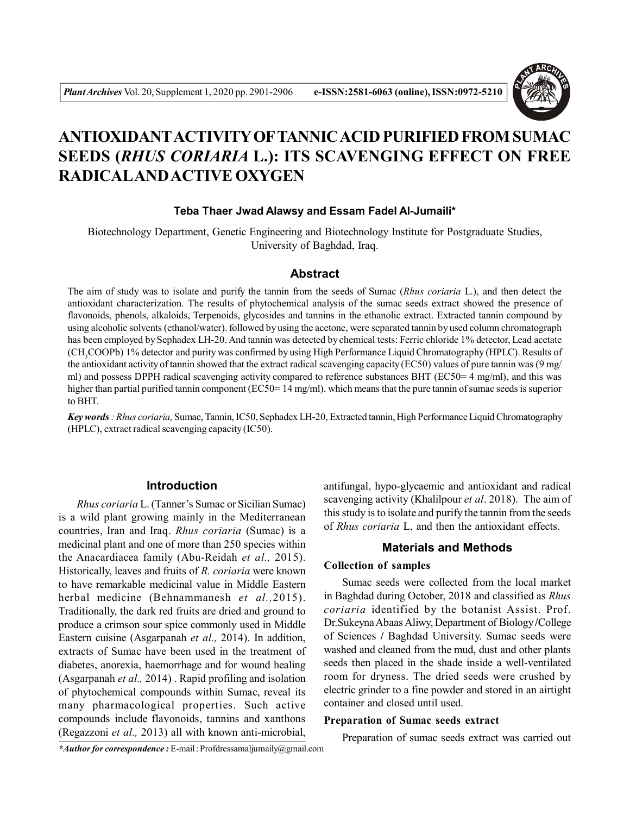

# **ANTIOXIDANTACTIVITY OFTANNIC ACID PURIFIED FROM SUMAC SEEDS (***RHUS CORIARIA* **L.): ITS SCAVENGING EFFECT ON FREE RADICALAND ACTIVE OXYGEN**

#### **Teba Thaer Jwad Alawsy and Essam Fadel Al-Jumaili\***

Biotechnology Department, Genetic Engineering and Biotechnology Institute for Postgraduate Studies, University of Baghdad, Iraq.

# **Abstract**

The aim of study was to isolate and purify the tannin from the seeds of Sumac (*Rhus coriaria* L.), and then detect the antioxidant characterization. The results of phytochemical analysis of the sumac seeds extract showed the presence of flavonoids, phenols, alkaloids, Terpenoids, glycosides and tannins in the ethanolic extract. Extracted tannin compound by using alcoholic solvents (ethanol/water). followed by using the acetone, were separated tannin by used column chromatograph has been employed by Sephadex LH-20. And tannin was detected by chemical tests: Ferric chloride 1% detector, Lead acetate (CH<sub>3</sub>COOPb) 1% detector and purity was confirmed by using High Performance Liquid Chromatography (HPLC). Results of the antioxidant activity of tannin showed that the extract radical scavenging capacity (EC50) values of pure tannin was (9 mg/ ml) and possess DPPH radical scavenging activity compared to reference substances BHT (EC50= 4 mg/ml), and this was higher than partial purified tannin component (EC50= 14 mg/ml). which means that the pure tannin of sumac seeds is superior to BHT.

*Key words : Rhus coriaria,* Sumac, Tannin, IC50, Sephadex LH-20, Extracted tannin, High Performance Liquid Chromatography (HPLC), extract radical scavenging capacity (IC50).

#### **Introduction**

*Rhus coriaria* L. (Tanner's Sumac or Sicilian Sumac) is a wild plant growing mainly in the Mediterranean countries, Iran and Iraq. *Rhus coriaria* (Sumac) is a medicinal plant and one of more than 250 species within the Anacardiacea family (Abu-Reidah *et al.,* 2015). Historically, leaves and fruits of *R. coriaria* were known to have remarkable medicinal value in Middle Eastern herbal medicine (Behnammanesh *et al.,*2015). Traditionally, the dark red fruits are dried and ground to produce a crimson sour spice commonly used in Middle Eastern cuisine (Asgarpanah *et al.,* 2014). In addition, extracts of Sumac have been used in the treatment of diabetes, anorexia, haemorrhage and for wound healing (Asgarpanah *et al.,* 2014) . Rapid profiling and isolation of phytochemical compounds within Sumac, reveal its many pharmacological properties. Such active compounds include flavonoids, tannins and xanthons (Regazzoni *et al.,* 2013) all with known anti-microbial,

antifungal, hypo-glycaemic and antioxidant and radical scavenging activity (Khalilpour *et al*. 2018). The aim of this study is to isolate and purify the tannin from the seeds of *Rhus coriaria* L, and then the antioxidant effects.

# **Materials and Methods**

#### **Collection of samples**

Sumac seeds were collected from the local market in Baghdad during October, 2018 and classified as *Rhus coriaria* identified by the botanist Assist. Prof. Dr.Sukeyna Abaas Aliwy, Department of Biology **/**College of Sciences **/** Baghdad University. Sumac seeds were washed and cleaned from the mud, dust and other plants seeds then placed in the shade inside a well-ventilated room for dryness. The dried seeds were crushed by electric grinder to a fine powder and stored in an airtight container and closed until used.

#### **Preparation of Sumac seeds extract**

Preparation of sumac seeds extract was carried out

*\*Author for correspondence :* E-mail : Profdressamaljumaily@gmail.com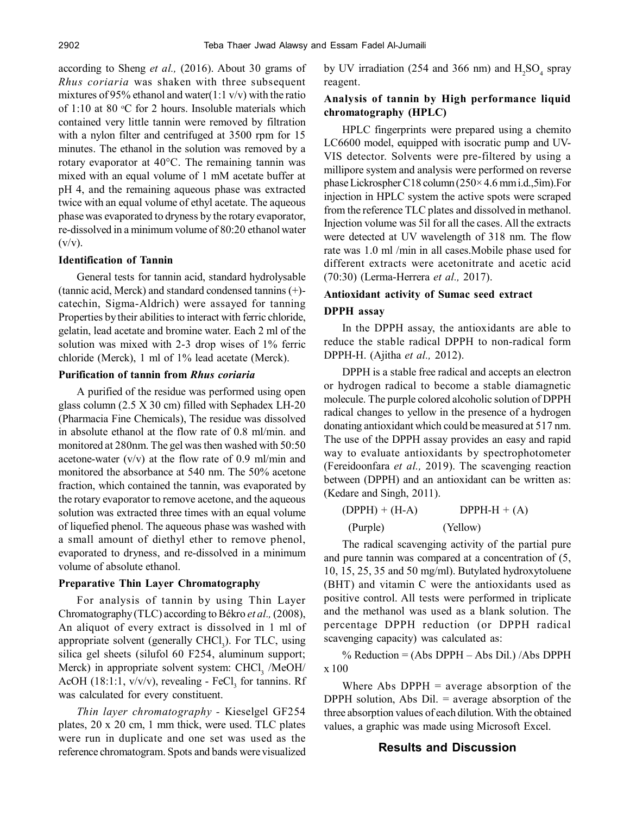according to Sheng *et al.,* (2016). About 30 grams of *Rhus coriaria* was shaken with three subsequent mixtures of 95% ethanol and water(1:1 v/v) with the ratio of 1:10 at 80  $\degree$ C for 2 hours. Insoluble materials which contained very little tannin were removed by filtration with a nylon filter and centrifuged at 3500 rpm for 15 minutes. The ethanol in the solution was removed by a rotary evaporator at 40°C. The remaining tannin was mixed with an equal volume of 1 mM acetate buffer at pH 4, and the remaining aqueous phase was extracted twice with an equal volume of ethyl acetate. The aqueous phase was evaporated to dryness by the rotary evaporator, re-dissolved in a minimum volume of 80:20 ethanol water  $(v/v)$ .

#### **Identification of Tannin**

General tests for tannin acid, standard hydrolysable (tannic acid, Merck) and standard condensed tannins (+) catechin, Sigma-Aldrich) were assayed for tanning Properties by their abilities to interact with ferric chloride, gelatin, lead acetate and bromine water. Each 2 ml of the solution was mixed with 2-3 drop wises of 1% ferric chloride (Merck), 1 ml of 1% lead acetate (Merck).

#### **Purification of tannin from** *Rhus coriaria*

A purified of the residue was performed using open glass column (2.5 X 30 cm) filled with Sephadex LH-20 (Pharmacia Fine Chemicals), The residue was dissolved in absolute ethanol at the flow rate of 0.8 ml/min. and monitored at 280nm. The gel was then washed with 50:50 acetone-water  $(v/v)$  at the flow rate of 0.9 ml/min and monitored the absorbance at 540 nm. The 50% acetone fraction, which contained the tannin, was evaporated by the rotary evaporator to remove acetone, and the aqueous solution was extracted three times with an equal volume of liquefied phenol. The aqueous phase was washed with a small amount of diethyl ether to remove phenol, evaporated to dryness, and re-dissolved in a minimum volume of absolute ethanol.

# **Preparative Thin Layer Chromatography**

For analysis of tannin by using Thin Layer Chromatography (TLC) according to Békro *et al.,* (2008), An aliquot of every extract is dissolved in 1 ml of appropriate solvent (generally  $CHCl<sub>3</sub>$ ). For TLC, using silica gel sheets (silufol 60 F254, aluminum support; Merck) in appropriate solvent system: CHCl<sub>3</sub> /MeOH/ AcOH (18:1:1,  $v/v/v$ ), revealing - FeCl<sub>3</sub> for tannins. Rf was calculated for every constituent.

*Thin layer chromatography -* Kieselgel GF254 plates, 20 x 20 cm, 1 mm thick, were used. TLC plates were run in duplicate and one set was used as the reference chromatogram. Spots and bands were visualized

by UV irradiation (254 and 366 nm) and  $H_2SO_4$  spray reagent.

# **Analysis of tannin by High performance liquid chromatography (HPLC)**

HPLC fingerprints were prepared using a chemito LC6600 model, equipped with isocratic pump and UV-VIS detector. Solvents were pre-filtered by using a millipore system and analysis were performed on reverse phase Lickrospher C18 column (250× 4.6 mm i.d.,5ìm).For injection in HPLC system the active spots were scraped from the reference TLC plates and dissolved in methanol. Injection volume was 5ìl for all the cases. All the extracts were detected at UV wavelength of 318 nm. The flow rate was 1.0 ml /min in all cases.Mobile phase used for different extracts were acetonitrate and acetic acid (70:30) (Lerma-Herrera *et al.,* 2017).

# **Antioxidant activity of Sumac seed extract DPPH assay**

In the DPPH assay, the antioxidants are able to reduce the stable radical DPPH to non-radical form DPPH-H. (Ajitha *et al.,* 2012).

DPPH is a stable free radical and accepts an electron or hydrogen radical to become a stable diamagnetic molecule. The purple colored alcoholic solution of DPPH radical changes to yellow in the presence of a hydrogen donating antioxidant which could be measured at 517 nm. The use of the DPPH assay provides an easy and rapid way to evaluate antioxidants by spectrophotometer (Fereidoonfara *et al.,* 2019). The scavenging reaction between (DPPH) and an antioxidant can be written as: (Kedare and Singh, 2011).

| $(DPPH) + (H-A)$ | $DPPH-H + (A)$ |
|------------------|----------------|
| (Purple)         | (Yellow)       |

The radical scavenging activity of the partial pure and pure tannin was compared at a concentration of (5, 10, 15, 25, 35 and 50 mg/ml). Butylated hydroxytoluene (BHT) and vitamin C were the antioxidants used as positive control. All tests were performed in triplicate and the methanol was used as a blank solution. The percentage DPPH reduction (or DPPH radical scavenging capacity) was calculated as:

% Reduction = (Abs DPPH – Abs Dil.) /Abs DPPH x 100

Where Abs  $DPPH = average$  absorption of the DPPH solution, Abs  $Dil.$  = average absorption of the three absorption values of each dilution. With the obtained values, a graphic was made using Microsoft Excel.

# **Results and Discussion**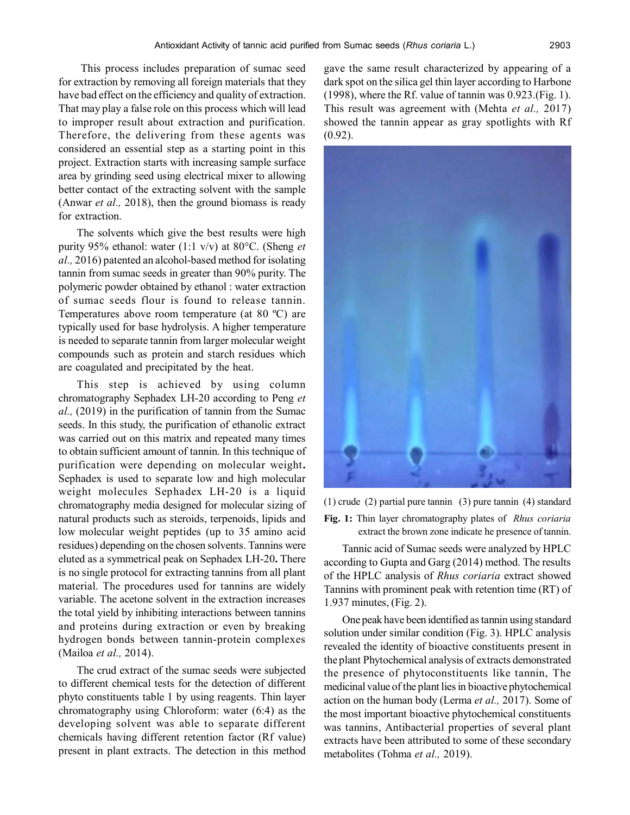This process includes preparation of sumac seed for extraction by removing all foreign materials that they have bad effect on the efficiency and quality of extraction. That may play a false role on this process which will lead to improper result about extraction and purification. Therefore, the delivering from these agents was considered an essential step as a starting point in this project. Extraction starts with increasing sample surface area by grinding seed using electrical mixer to allowing better contact of the extracting solvent with the sample (Anwar *et al.,* 2018), then the ground biomass is ready for extraction.

The solvents which give the best results were high purity 95% ethanol: water (1:1 v/v) at 80°C. (Sheng *et al.,* 2016) patented an alcohol-based method for isolating tannin from sumac seeds in greater than 90% purity. The polymeric powder obtained by ethanol : water extraction of sumac seeds flour is found to release tannin. Temperatures above room temperature (at 80 ºC) are typically used for base hydrolysis. A higher temperature is needed to separate tannin from larger molecular weight compounds such as protein and starch residues which are coagulated and precipitated by the heat.

This step is achieved by using column chromatography Sephadex LH-20 according to Peng *et al.,* (2019) in the purification of tannin from the Sumac seeds. In this study, the purification of ethanolic extract was carried out on this matrix and repeated many times to obtain sufficient amount of tannin. In this technique of purification were depending on molecular weight**.** Sephadex is used to separate low and high molecular weight molecules Sephadex LH-20 is a liquid chromatography media designed for molecular sizing of natural products such as steroids, terpenoids, lipids and low molecular weight peptides (up to 35 amino acid residues) depending on the chosen solvents. Tannins were eluted as a symmetrical peak on Sephadex LH-20**.** There is no single protocol for extracting tannins from all plant material. The procedures used for tannins are widely variable. The acetone solvent in the extraction increases the total yield by inhibiting interactions between tannins and proteins during extraction or even by breaking hydrogen bonds between tannin-protein complexes (Mailoa *et al.,* 2014).

The crud extract of the sumac seeds were subjected to different chemical tests for the detection of different phyto constituents table 1 by using reagents. Thin layer chromatography using Chloroform: water (6:4) as the developing solvent was able to separate different chemicals having different retention factor (Rf value) present in plant extracts. The detection in this method gave the same result characterized by appearing of a dark spot on the silica gel thin layer according to Harbone (1998), where the Rf. value of tannin was 0.923.(Fig. 1). This result was agreement with (Mehta *et al.,* 2017) showed the tannin appear as gray spotlights with Rf (0.92).



(1) crude (2) partial pure tannin (3) pure tannin (4) standard **Fig. 1:** Thin layer chromatography plates of *Rhus coriaria*

extract the brown zone indicate he presence of tannin.

Tannic acid of Sumac seeds were analyzed by HPLC according to Gupta and Garg (2014) method. The results of the HPLC analysis of *Rhus coriaria* extract showed Tannins with prominent peak with retention time (RT) of 1.937 minutes, (Fig. 2).

One peak have been identified as tannin using standard solution under similar condition (Fig. 3). HPLC analysis revealed the identity of bioactive constituents present in the plant Phytochemical analysis of extracts demonstrated the presence of phytoconstituents like tannin, The medicinal value of the plant lies in bioactive phytochemical action on the human body (Lerma *et al.,* 2017). Some of the most important bioactive phytochemical constituents was tannins, Antibacterial properties of several plant extracts have been attributed to some of these secondary metabolites (Tohma *et al.,* 2019).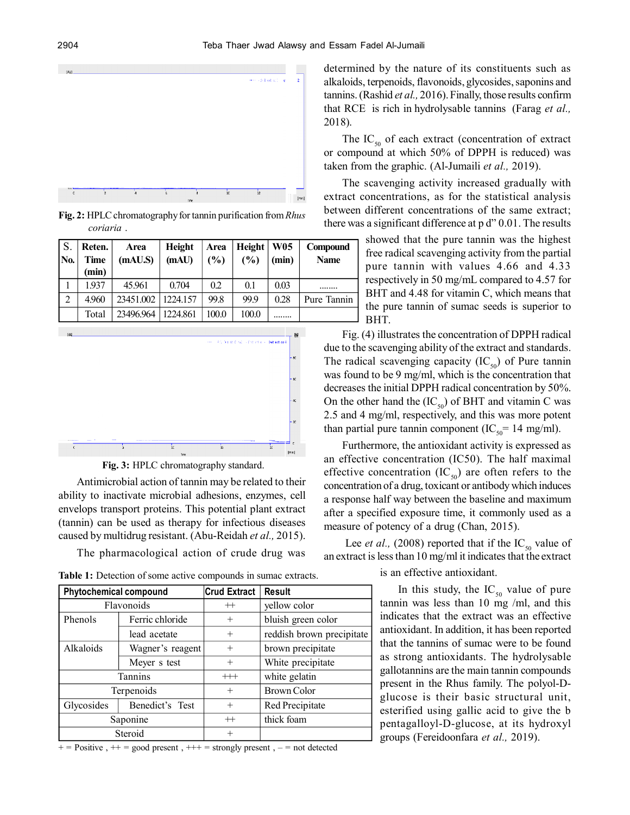

**Fig. 2:** HPLC chromatography for tannin purification from *Rhus coriaria* .

| S.<br>INo.     | Reten.<br>Time<br>(min) | Area<br>(mAU.S) | Height<br>(mAU) | Area<br>(%) | Height<br>(%) | <b>W05</b><br>(min) | Compound<br><b>Name</b> |
|----------------|-------------------------|-----------------|-----------------|-------------|---------------|---------------------|-------------------------|
|                | 1.937                   | 45.961          | 0.704           | 0.2         | 0.1           | 0.03                |                         |
| $\overline{2}$ | 4.960                   | 23451.002       | 1224.157        | 99.8        | 99.9          | 0.28                | Pure Tannin             |
|                | Total                   | 23496.964       | 1224.861        | 100.0       | 100.0         |                     |                         |



**Fig. 3:** HPLC chromatography standard.

Antimicrobial action of tannin may be related to their ability to inactivate microbial adhesions, enzymes, cell envelops transport proteins. This potential plant extract (tannin) can be used as therapy for infectious diseases caused by multidrug resistant. (Abu-Reidah *et al.,* 2015).

The pharmacological action of crude drug was

**Table 1:** Detection of some active compounds in sumac extracts.

| <b>Phytochemical compound</b> |                  | <b>Crud Extract</b> | <b>Result</b>             |
|-------------------------------|------------------|---------------------|---------------------------|
| Flavonoids                    |                  | $^{++}$             | yellow color              |
| Phenols                       | Ferric chloride  | $^{+}$              | bluish green color        |
|                               | lead acetate     | $^{+}$              | reddish brown precipitate |
| Alkaloids                     | Wagner's reagent | $^{+}$              | brown precipitate         |
|                               | Meyer s test     | $^{+}$              | White precipitate         |
| Tannins                       |                  | $++$                | white gelatin             |
| Terpenoids                    |                  | $^{+}$              | Brown Color               |
| Glycosides                    | Benedict's Test  | $^{+}$              | Red Precipitate           |
| Saponine                      |                  | $^{++}$             | thick foam                |
| Steroid                       |                  | $^{+}$              |                           |

 $+=$  Positive,  $++$  = good present,  $++$  = strongly present,  $-$  = not detected

determined by the nature of its constituents such as alkaloids, terpenoids, flavonoids, glycosides, saponins and tannins. (Rashid *et al.,* 2016). Finally, those results confirm that RCE is rich in hydrolysable tannins (Farag *et al.,* 2018).

The  $IC_{50}$  of each extract (concentration of extract or compound at which 50% of DPPH is reduced) was taken from the graphic. (Al-Jumaili *et al.,* 2019).

The scavenging activity increased gradually with extract concentrations, as for the statistical analysis between different concentrations of the same extract; there was a significant difference at p d" 0.01. The results

> showed that the pure tannin was the highest free radical scavenging activity from the partial pure tannin with values 4.66 and 4.33 respectively in 50 mg/mL compared to 4.57 for BHT and 4.48 for vitamin C, which means that the pure tannin of sumac seeds is superior to BHT.

Fig. (4) illustrates the concentration of DPPH radical due to the scavenging ability of the extract and standards. The radical scavenging capacity  $(IC_{50})$  of Pure tannin was found to be 9 mg/ml, which is the concentration that decreases the initial DPPH radical concentration by 50%. On the other hand the  $(IC_{50})$  of BHT and vitamin C was 2.5 and 4 mg/ml, respectively, and this was more potent than partial pure tannin component (IC<sub>50</sub> = 14 mg/ml).

Furthermore, the antioxidant activity is expressed as an effective concentration (IC50). The half maximal effective concentration  $(IC_{50})$  are often refers to the concentration of a drug, toxicant or antibody which induces a response half way between the baseline and maximum after a specified exposure time, it commonly used as a measure of potency of a drug (Chan, 2015).

Lee *et al.*, (2008) reported that if the  $IC_{50}$  value of an extract is less than 10 mg/ml it indicates that the extract

is an effective antioxidant.

In this study, the  $IC_{50}$  value of pure tannin was less than 10 mg /ml, and this indicates that the extract was an effective antioxidant. In addition, it has been reported that the tannins of sumac were to be found as strong antioxidants. The hydrolysable gallotannins are the main tannin compounds present in the Rhus family. The polyol-Dglucose is their basic structural unit, esterified using gallic acid to give the b pentagalloyl-D-glucose, at its hydroxyl groups (Fereidoonfara *et al.,* 2019).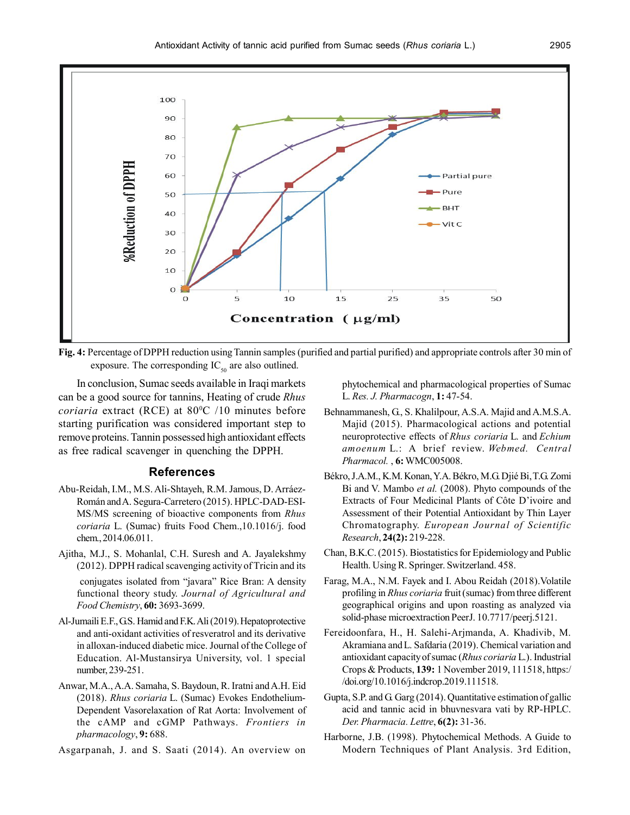

**Fig. 4:** Percentage of DPPH reduction using Tannin samples (purified and partial purified) and appropriate controls after 30 min of exposure. The corresponding  $IC_{50}$  are also outlined.

In conclusion, Sumac seeds available in Iraqi markets can be a good source for tannins, Heating of crude *Rhus coriaria* extract (RCE) at 80<sup>o</sup>C /10 minutes before starting purification was considered important step to remove proteins. Tannin possessed high antioxidant effects as free radical scavenger in quenching the DPPH.

#### **References**

- Abu-Reidah, I.M., M.S. Ali-Shtayeh, R.M. Jamous, D. Arráez-Román and A. Segura-Carretero (2015). HPLC-DAD-ESI-MS/MS screening of bioactive components from *Rhus coriaria* L. (Sumac) fruits Food Chem.,10.1016/j. food chem., 2014.06.011.
- Ajitha, M.J., S. Mohanlal, C.H. Suresh and A. Jayalekshmy (2012). DPPH radical scavenging activity of Tricin and its conjugates isolated from "javara" Rice Bran: A density functional theory study. *Journal of Agricultural and Food Chemistry*, **60:** 3693-3699.
- Al-Jumaili E.F., G.S. Hamid and F.K. Ali (2019). Hepatoprotective and anti-oxidant activities of resveratrol and its derivative in alloxan-induced diabetic mice. Journal of the College of Education. Al-Mustansirya University, vol. 1 special number, 239-251.
- Anwar, M.A., A.A. Samaha, S. Baydoun, R. Iratni and A.H. Eid (2018). *Rhus coriaria* L. (Sumac) Evokes Endothelium-Dependent Vasorelaxation of Rat Aorta: Involvement of the cAMP and cGMP Pathways. *Frontiers in pharmacology*, **9:** 688.
- Asgarpanah, J. and S. Saati (2014). An overview on

phytochemical and pharmacological properties of Sumac L. *Res. J. Pharmacogn*, **1:** 47-54.

- Behnammanesh, G., S. Khalilpour, A.S.A. Majid and A.M.S.A. Majid (2015). Pharmacological actions and potential neuroprotective effects of *Rhus coriaria* L. and *Echium amoenum* L.: A brief review. *Webmed. Central Pharmacol.* , **6:** WMC005008.
- Békro, J.A.M., K.M. Konan, Y.A. Békro, M.G. Djié Bi, T.G. Zomi Bi and V. Mambo *et al.* (2008). Phyto compounds of the Extracts of Four Medicinal Plants of Côte D'ivoire and Assessment of their Potential Antioxidant by Thin Layer Chromatography. *European Journal of Scientific Research*, **24(2):** 219-228.
- Chan, B.K.C. (2015). Biostatistics for Epidemiology and Public Health. Using R. Springer. Switzerland. 458.
- Farag, M.A., N.M. Fayek and I. Abou Reidah (2018).Volatile profiling in *Rhus coriaria* fruit (sumac) from three different geographical origins and upon roasting as analyzed via solid-phase microextraction PeerJ. 10.7717/peerj.5121.
- Fereidoonfara, H., H. Salehi-Arjmanda, A. Khadivib, M. Akramiana and L. Safdaria (2019). Chemical variation and antioxidant capacity of sumac (*Rhus coriaria* L.). Industrial Crops & Products, **139:** 1 November 2019, 111518, https:/ /doi.org/10.1016/j.indcrop.2019.111518.
- Gupta, S.P. and G. Garg (2014). Quantitative estimation of gallic acid and tannic acid in bhuvnesvara vati by RP-HPLC. *Der. Pharmacia. Lettre*, **6(2):** 31-36.
- Harborne, J.B. (1998). Phytochemical Methods. A Guide to Modern Techniques of Plant Analysis. 3rd Edition,